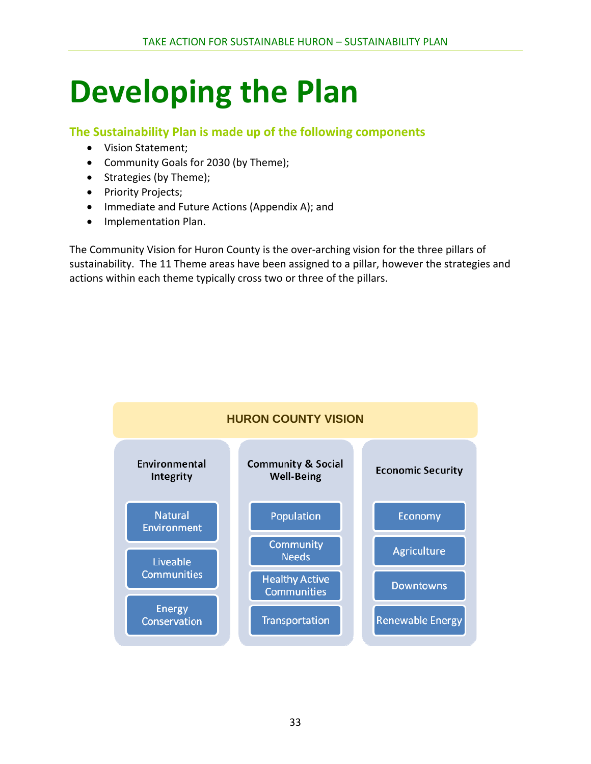# **Developing the Plan**

### **The Sustainability Plan is made up of the following components**

- Vision Statement;
- Community Goals for 2030 (by Theme);
- Strategies (by Theme);
- Priority Projects;
- Immediate and Future Actions (Appendix A); and
- **•** Implementation Plan.

The Community Vision for Huron County is the over-arching vision for the three pillars of sustainability. The 11 Theme areas have been assigned to a pillar, however the strategies and actions within each theme typically cross two or three of the pillars.

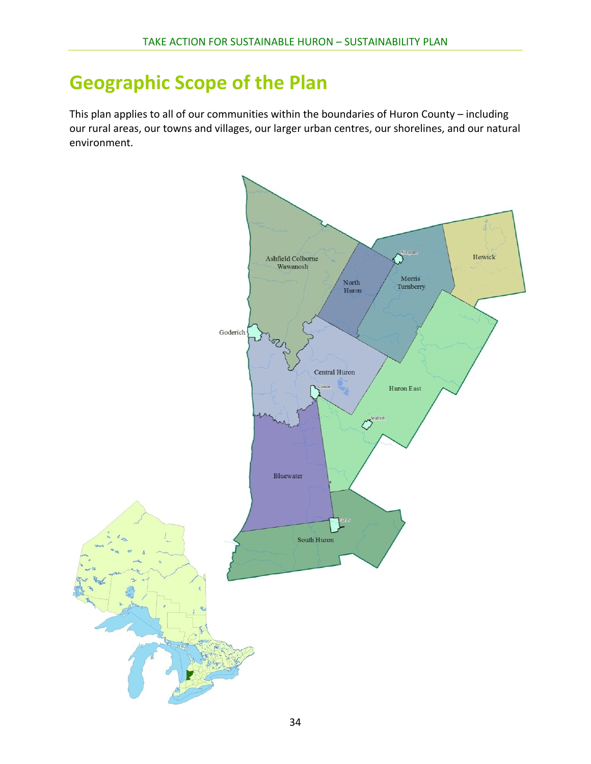## **Geographic Scope of the Plan**

This plan applies to all of our communities within the boundaries of Huron County – including our rural areas, our towns and villages, our larger urban centres, our shorelines, and our natural environment.

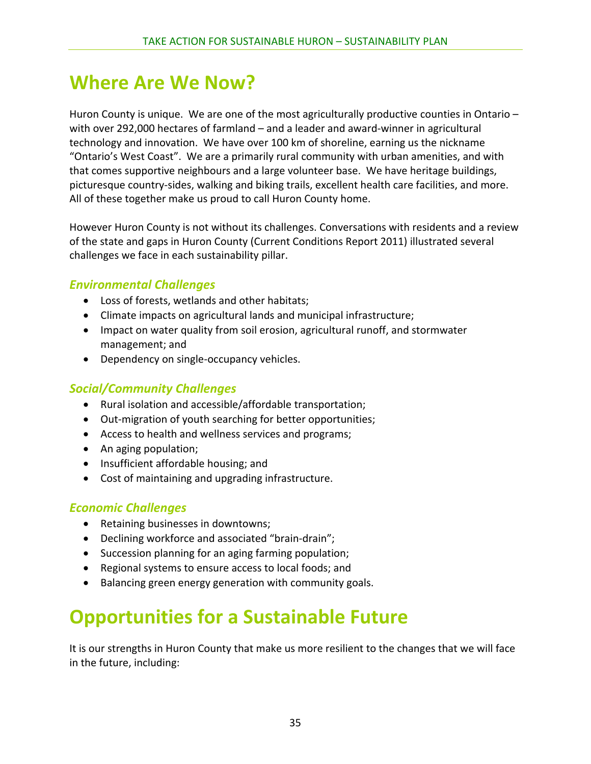### **Where Are We Now?**

Huron County is unique. We are one of the most agriculturally productive counties in Ontario – with over 292,000 hectares of farmland – and a leader and award-winner in agricultural technology and innovation. We have over 100 km of shoreline, earning us the nickname "Ontario's West Coast". We are a primarily rural community with urban amenities, and with that comes supportive neighbours and a large volunteer base. We have heritage buildings, picturesque country‐sides, walking and biking trails, excellent health care facilities, and more. All of these together make us proud to call Huron County home.

However Huron County is not without its challenges. Conversations with residents and a review of the state and gaps in Huron County (Current Conditions Report 2011) illustrated several challenges we face in each sustainability pillar.

### *Environmental Challenges*

- Loss of forests, wetlands and other habitats;
- Climate impacts on agricultural lands and municipal infrastructure;
- Impact on water quality from soil erosion, agricultural runoff, and stormwater management; and
- Dependency on single-occupancy vehicles.

### *Social/Community Challenges*

- Rural isolation and accessible/affordable transportation;
- Out-migration of youth searching for better opportunities;
- Access to health and wellness services and programs;
- An aging population;
- Insufficient affordable housing; and
- Cost of maintaining and upgrading infrastructure.

### *Economic Challenges*

- Retaining businesses in downtowns;
- Declining workforce and associated "brain-drain";
- Succession planning for an aging farming population;
- Regional systems to ensure access to local foods; and
- Balancing green energy generation with community goals.

## **Opportunities for a Sustainable Future**

It is our strengths in Huron County that make us more resilient to the changes that we will face in the future, including: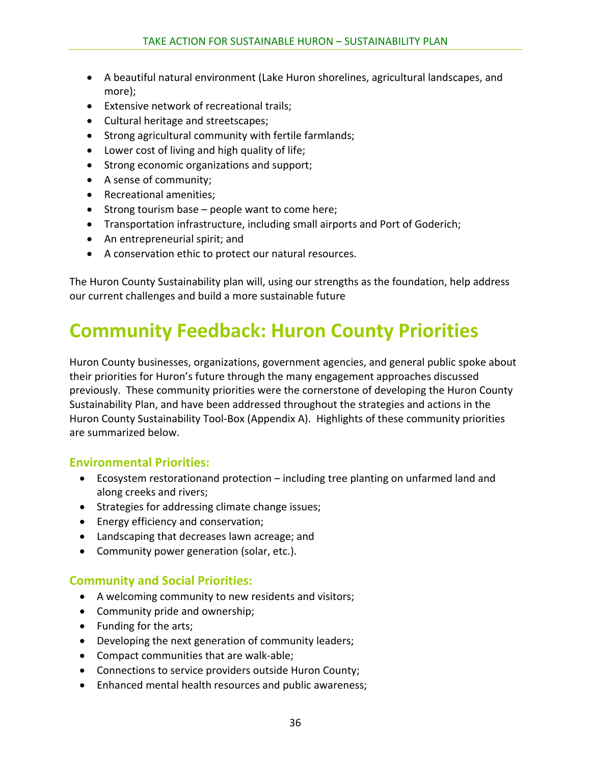- A beautiful natural environment (Lake Huron shorelines, agricultural landscapes, and more);
- Extensive network of recreational trails;
- Cultural heritage and streetscapes;
- Strong agricultural community with fertile farmlands;
- Lower cost of living and high quality of life;
- Strong economic organizations and support;
- A sense of community;
- Recreational amenities;
- $\bullet$  Strong tourism base people want to come here;
- Transportation infrastructure, including small airports and Port of Goderich;
- An entrepreneurial spirit; and
- A conservation ethic to protect our natural resources.

The Huron County Sustainability plan will, using our strengths as the foundation, help address our current challenges and build a more sustainable future

### **Community Feedback: Huron County Priorities**

Huron County businesses, organizations, government agencies, and general public spoke about their priorities for Huron's future through the many engagement approaches discussed previously. These community priorities were the cornerstone of developing the Huron County Sustainability Plan, and have been addressed throughout the strategies and actions in the Huron County Sustainability Tool-Box (Appendix A). Highlights of these community priorities are summarized below.

#### **Environmental Priorities:**

- Ecosystem restorationand protection including tree planting on unfarmed land and along creeks and rivers;
- Strategies for addressing climate change issues;
- Energy efficiency and conservation;
- Landscaping that decreases lawn acreage; and
- Community power generation (solar, etc.).

#### **Community and Social Priorities:**

- A welcoming community to new residents and visitors;
- Community pride and ownership;
- Funding for the arts;
- Developing the next generation of community leaders;
- Compact communities that are walk-able;
- Connections to service providers outside Huron County;
- Enhanced mental health resources and public awareness;